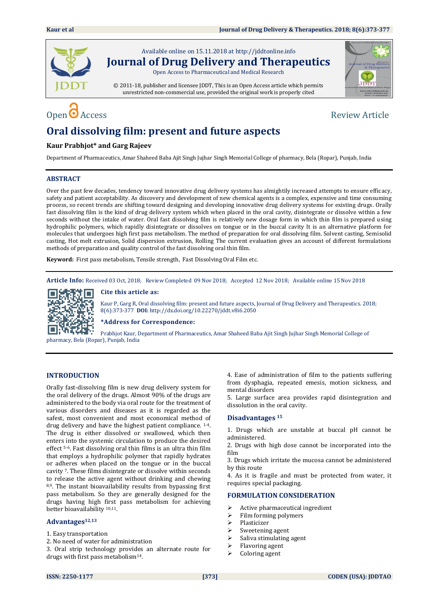

Available online on 15.11.2018 a[t http://jddtonline.info](http://jddtonline.info/) **Journal of Drug Delivery and Therapeutics**

Open Access to Pharmaceutical and Medical Research

© 2011-18, publisher and licensee JDDT, This is an Open Access article which permits unrestricted non-commercial use, provided the original work is properly cited



# Open  $\bullet$  Access Review Article

## **Oral dissolving film: present and future aspects**

### **Kaur Prabhjot\* and Garg Rajeev**

Department of Pharmaceutics, Amar Shaheed Baba Ajit Singh Jujhar Singh Memorial College of pharmacy, Bela (Ropar), Punjab, India

### **ABSTRACT**

Over the past few decades, tendency toward innovative drug delivery systems has almightily increased attempts to ensure efficacy, safety and patient acceptability. As discovery and development of new chemical agents is a complex, expensive and time consuming process, so recent trends are shifting toward designing and developing innovative drug delivery systems for existing drugs. Orally fast dissolving film is the kind of drug delivery system which when placed in the oral cavity, disintegrate or dissolve within a few seconds without the intake of water. Oral fast dissolving film is relatively new dosage form in which thin film is prepared using hydrophilic polymers, which rapidly disintegrate or dissolves on tongue or in the buccal cavity It is an alternative platform for molecules that undergoes high first pass metabolism. The method of preparation for oral dissolving film. Solvent casting, Semisolid casting, Hot melt extrusion, Solid dispersion extrusion, Rolling The current evaluation gives an account of different formulations methods of preparation and quality control of the fast dissolving oral thin film.

**Keyword:** First pass metabolism, Tensile strength, Fast Dissolving Oral Film etc.

**Article Info:** Received 03 Oct, 2018; Review Completed 09 Nov 2018; Accepted 12 Nov 2018; Available online 15 Nov 2018



**Cite this article as:** 

Kaur P, Garg R, Oral dissolving film: present and future aspects, Journal of Drug Delivery and Therapeutics. 2018; 8(6):373-377 **DOI:** <http://dx.doi.org/10.22270/jddt.v8i6.2050>

**\*Address for Correspondence:** 

Prabhjot Kaur, Department of Pharmaceutics, Amar Shaheed Baba Ajit Singh Jujhar Singh Memorial College of pharmacy, Bela (Ropar), Punjab, India

### **INTRODUCTION**

Orally fast-dissolving film is new drug delivery system for the oral delivery of the drugs. Almost 90% of the drugs are administered to the body via oral route for the treatment of various disorders and diseases as it is regarded as the safest, most convenient and most economical method of drug delivery and have the highest patient compliance. 1-4. The drug is either dissolved or swallowed, which then enters into the systemic circulation to produce the desired effect 5-6. Fast dissolving oral thin films is an ultra thin film that employs a hydrophilic polymer that rapidly hydrates or adheres when placed on the tongue or in the buccal cavity 7. These films disintegrate or dissolve within seconds to release the active agent without drinking and chewing 8,9. The instant bioavailability results from bypassing first pass metabolism. So they are generally designed for the drugs having high first pass metabolism for achieving better bioavailability 10,11.

### **Advantages12,13**

- 1. Easy transportation
- 2. No need of water for administration

3. Oral strip technology provides an alternate route for drugs with first pass metabolism14.

4. Ease of administration of film to the patients suffering from dysphagia, repeated emesis, motion sickness, and mental disorders

5. Large surface area provides rapid disintegration and dissolution in the oral cavity.

### **Disadvantages <sup>15</sup>**

1. Drugs which are unstable at buccal pH cannot be administered.

2. Drugs with high dose cannot be incorporated into the film

3. Drugs which irritate the mucosa cannot be administered by this route

4. As it is fragile and must be protected from water, it requires special packaging.

### **FORMULATION CONSIDERATION**

- Active pharmaceutical ingredient
- $\triangleright$  Film forming polymers
- > Plasticizer
- $\triangleright$  Sweetening agent
- $\triangleright$  Saliva stimulating agent
- Flavoring agent
- Coloring agent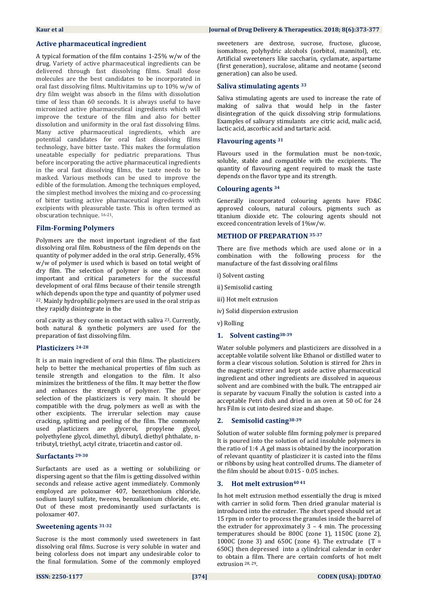### **Active pharmaceutical ingredient**

A typical formation of the film contains 1-25% w/w of the drug. Variety of active pharmaceutical ingredients can be delivered through fast dissolving films. Small dose molecules are the best candidates to be incorporated in oral fast dissolving films. Multivitamins up to 10% w/w of dry film weight was absorb in the films with dissolution time of less than 60 seconds. It is always useful to have micronized active pharmaceutical ingredients which will improve the texture of the film and also for better dissolution and uniformity in the oral fast dissolving films. Many active pharmaceutical ingredients, which are potential candidates for oral fast dissolving films technology, have bitter taste. This makes the formulation uneatable especially for pediatric preparations. Thus before incorporating the active pharmaceutical ingredients in the oral fast dissolving films, the taste needs to be masked. Various methods can be used to improve the edible of the formulation. Among the techniques employed, the simplest method involves the mixing and co-processing of bitter tasting active pharmaceutical ingredients with excipients with pleasurable taste. This is often termed as obscuration technique. <sup>16-21</sup>.

### **Film-Forming Polymers**

Polymers are the most important ingredient of the fast dissolving oral film. Robustness of the film depends on the quantity of polymer added in the oral strip. Generally, 45% w/w of polymer is used which is based on total weight of dry film. The selection of polymer is one of the most important and critical parameters for the successful development of oral films because of their tensile strength which depends upon the type and quantity of polymer used <sup>22</sup>. Mainly hydrophilic polymers are used in the oral strip as they rapidly disintegrate in the

oral cavity as they come in contact with saliva 23. Currently, both natural & synthetic polymers are used for the preparation of fast dissolving film.

### **Plasticizers 24-28**

It is an main ingredient of oral thin films. The plasticizers help to better the mechanical properties of film such as tensile strength and elongation to the film. It also minimizes the brittleness of the film. It may better the flow and enhances the strength of polymer. The proper selection of the plasticizers is very main. It should be compatible with the drug, polymers as well as with the other excipients. The irrerular selection may cause cracking, splitting and peeling of the film. The commonly used plasticizers are glycerol, propylene glycol, polyethylene glycol, dimethyl, dibutyl, diethyl phthalate, ntributyl, triethyl, actyl citrate, triacetin and castor oil.

### **Surfactants 29-30**

Surfactants are used as a wetting or solubilizing or dispersing agent so that the film is getting dissolved within seconds and release active agent immediately. Commonly employed are poloxamer 407, benzethonium chloride, sodium lauryl sulfate, tweens, benzalkonium chloride, etc. Out of these most predominantly used surfactants is poloxamer 407.

### **Sweetening agents 31-32**

Sucrose is the most commonly used sweeteners in fast dissolving oral films. Sucrose is very soluble in water and being colorless does not impart any undesirable color to the final formulation. Some of the commonly employed

### **Kaur et al Journal of Drug Delivery & Therapeutics. 2018; 8(6):373-377**

sweeteners are dextrose, sucrose, fructose, glucose, isomaltose, polyhydric alcohols (sorbitol, mannitol), etc. Artificial sweeteners like saccharin, cyclamate, aspartame (first generation), sucralose, alitame and neotame (second generation) can also be used.

### **Saliva stimulating agents <sup>33</sup>**

Saliva stimulating agents are used to increase the rate of making of saliva that would help in the faster disintegration of the quick dissolving strip formulations. Examples of salivary stimulants are citric acid, malic acid, lactic acid, ascorbic acid and tartaric acid.

### **Flavouring agents <sup>31</sup>**

Flavours used in the formulation must be non-toxic, soluble, stable and compatible with the excipients. The quantity of flavouring agent required to mask the taste depends on the flavor type and its strength.

### **Colouring agents <sup>34</sup>**

Generally incorporated colouring agents have FD&C approved colours, natural colours, pigments such as titanium dioxide etc. The colouring agents should not exceed concentration levels of 1%w/w.

### **METHOD OF PREPARATION 35-37**

There are five methods which are used alone or in a combination with the following process for the manufacture of the fast dissolving oral films

- i) Solvent casting
- ii) Semisolid casting
- iii) Hot melt extrusion
- iv) Solid dispersion extrusion
- v) Rolling

### **1. Solvent casting38-39**

Water soluble polymers and plasticizers are dissolved in a acceptable volatile solvent like Ethanol or distilled water to form a clear viscous solution. Solution is stirred for 2hrs in the magnetic stirrer and kept aside active pharmaceutical ingredient and other ingredients are dissolved in aqueous solvent and are combined with the bulk. The entrapped air is separate by vacuum Finally the solution is casted into a acceptable Petri dish and dried in an oven at 50 oC for 24 hrs Film is cut into desired size and shape.

### **2. Semisolid casting38-39**

Solution of water soluble film forming polymer is prepared It is poured into the solution of acid insoluble polymers in the ratio of 1:4 .A gel mass is obtained by the incorporation of relevant quantity of plasticizer it is casted into the films or ribbons by using heat controlled drums. The diameter of the film should be about 0.015 - 0.05 inches.

### **3. Hot melt extrusion40 41**

In hot melt extrusion method essentially the drug is mixed with carrier in solid form. Then dried granular material is introduced into the extruder. The short speed should set at 15 rpm in order to process the granules inside the barrel of the extruder for approximately  $3 - 4$  min. The processing temperatures should be 800C (zone 1), 1150C (zone 2), 1000C (zone 3) and 650C (zone 4). The extrudate  $(T =$ 650C) then depressed into a cylindrical calendar in order to obtain a film. There are certain comforts of hot melt extrusion 28, 29.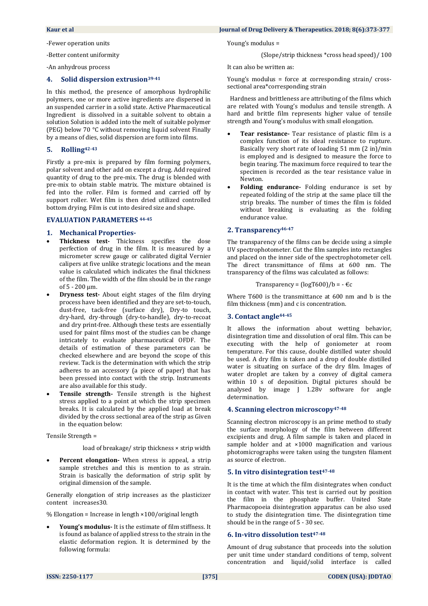-Fewer operation units

-Better content uniformity

-An anhydrous process

### **4. Solid dispersion extrusion39-41**

In this method, the presence of amorphous hydrophilic polymers, one or more active ingredients are dispersed in an suspended carrier in a solid state. Active Pharmaceutical Ingredient is dissolved in a suitable solvent to obtain a solution Solution is added into the melt of suitable polymer (PEG) below 70 °C without removing liquid solvent Finally by a means of dies, solid dispersion are form into films.

### **5. Rolling42-43**

Firstly a pre-mix is prepared by film forming polymers, polar solvent and other add on except a drug. Add required quantity of drug to the pre-mix. The drug is blended with pre-mix to obtain stable matrix. The mixture obtained is fed into the roller. Film is formed and carried off by support roller. Wet film is then dried utilized controlled bottom drying. Film is cut into desired size and shape.

### **EVALUATION PARAMETERS 44-45**

### **1. Mechanical Properties-**

- **Thickness test-** Thickness specifies the dose perfection of drug in the film. It is measured by a micrometer screw gauge or calibrated digital Vernier calipers at five unlike strategic locations and the mean value is calculated which indicates the final thickness of the film. The width of the film should be in the range  $of 5 - 200$  um.
- **Dryness test-** About eight stages of the film drying process have been identified and they are set-to-touch, dust-free, tack-free (surface dry), Dry-to touch, dry‐hard, dry‐through (dry‐to‐handle), dry‐to‐recoat and dry print‐free. Although these tests are essentially used for paint films most of the studies can be change intricately to evaluate pharmaceutical OFDF. The details of estimation of these parameters can be checked elsewhere and are beyond the scope of this review. Tack is the determination with which the strip adheres to an accessory (a piece of paper) that has been pressed into contact with the strip. Instruments are also available for this study.
- **Tensile strength-** Tensile strength is the highest stress applied to a point at which the strip specimen breaks. It is calculated by the applied load at break divided by the cross sectional area of the strip as Given in the equation below:

Tensile Strength =

load of breakage/ strip thickness × strip width

 **Percent elongation-** When stress is appeal, a strip sample stretches and this is mention to as strain. Strain is basically the deformation of strip split by original dimension of the sample.

Generally elongation of strip increases as the plasticizer content increases30.

 $%$  Elongation = Increase in length  $×100/$ original length

 **Young's modulus-** It is the estimate of film stiffness. It is found as balance of applied stress to the strain in the elastic deformation region. It is determined by the following formula:

### **Kaur et al Journal of Drug Delivery & Therapeutics. 2018; 8(6):373-377**

Young's modulus =

(Slope/strip thickness \*cross head speed)/ 100

It can also be written as:

Young's modulus = force at corresponding strain/ crosssectional area\*corresponding strain

 Hardness and brittleness are attributing of the films which are related with Young's modulus and tensile strength. A hard and brittle film represents higher value of tensile strength and Young's modulus with small elongation.

- **Tear resistance-** Tear resistance of plastic film is a complex function of its ideal resistance to rupture. Basically very short rate of loading 51 mm (2 in)/min is employed and is designed to measure the force to begin tearing. The maximum force required to tear the specimen is recorded as the tear resistance value in Newton.
- **Folding endurance-** Folding endurance is set by repeated folding of the strip at the same place till the strip breaks. The number of times the film is folded without breaking is evaluating as the folding endurance value.

### **2. Transparency46-47**

The transparency of the films can be decide using a simple UV spectrophotometer. Cut the film samples into rectangles and placed on the inner side of the spectrophotometer cell. The direct transmittance of films at 600 nm. The transparency of the films was calculated as follows:

Transparency =  $(logT600)/b = -\epsilon c$ 

Where T600 is the transmittance at 600 nm and b is the film thickness (mm) and c is concentration.

### **3. Contact angle44-45**

It allows the information about wetting behavior, disintegration time and dissolution of oral film. This can be executing with the help of goniometer at room temperature. For this cause, double distilled water should be used. A dry film is taken and a drop of double distilled water is situating on surface of the dry film. Images of water droplet are taken by a convey of digital camera within 10 s of deposition. Digital pictures should be analysed by image J 1.28v software for angle determination.

### **4. Scanning electron microscopy47-48**

Scanning electron microscopy is an prime method to study the surface morphology of the film between different excipients and drug. A film sample is taken and placed in sample holder and at ×1000 magnification and various photomicrographs were taken using the tungsten filament as source of electron.

### **5. In vitro disintegration test47-48**

It is the time at which the film disintegrates when conduct in contact with water. This test is carried out by position the film in the phosphate buffer. United State Pharmacopoeia disintegration apparatus can be also used to study the disintegration time. The disintegration time should be in the range of 5 - 30 sec.

### **6. In-vitro dissolution test47-48**

Amount of drug substance that proceeds into the solution per unit time under standard conditions of temp, solvent concentration and liquid/solid interface is called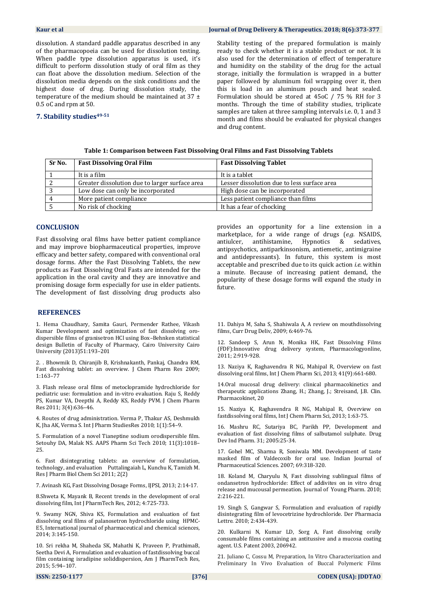**Kaur et al** Journal of Drug Delivery & Therapeutics. 2018; 8(6):373-377

dissolution. A standard paddle apparatus described in any of the pharmacopoeia can be used for dissolution testing. When paddle type dissolution apparatus is used, it's difficult to perform dissolution study of oral film as they can float above the dissolution medium. Selection of the dissolution media depends on the sink conditions and the highest dose of drug. During dissolution study, the temperature of the medium should be maintained at 37 ± 0.5 oC and rpm at 50.

### **7. Stability studies49-51**

Stability testing of the prepared formulation is mainly ready to check whether it is a stable product or not. It is also used for the determination of effect of temperature and humidity on the stability of the drug for the actual storage, initially the formulation is wrapped in a butter paper followed by aluminum foil wrapping over it, then this is load in an aluminum pouch and heat sealed. Formulation should be stored at 45oC / 75 % RH for 3 months. Through the time of stability studies, triplicate samples are taken at three sampling intervals i.e. 0, 1 and 3 month and films should be evaluated for physical changes and drug content.

| Sr No. | <b>Fast Dissolving Oral Film</b>               | <b>Fast Dissolving Tablet</b>               |
|--------|------------------------------------------------|---------------------------------------------|
|        | It is a film                                   | It is a tablet                              |
|        | Greater dissolution due to larger surface area | Lesser dissolution due to less surface area |
|        | Low dose can only be incorporated              | High dose can be incorporated               |
|        | More patient compliance                        | Less patient compliance than films          |
|        | No risk of chocking                            | It has a fear of chocking                   |

### **Table 1: Comparison between Fast Dissolving Oral Films and Fast Dissolving Tablets**

### **CONCLUSION**

Fast dissolving oral films have better patient compliance and may improve biopharmaceutical properties, improve efficacy and better safety, compared with conventional oral dosage forms. After the Fast Dissolving Tablets, the new products as Fast Dissolving Oral Fasts are intended for the application in the oral cavity and they are innovative and promising dosage form especially for use in elder patients. The development of fast dissolving drug products also

### **REFERENCES**

1. Hema Chaudhary, Samita Gauri, Permender Rathee, Vikash Kumar Development and optimization of fast dissolving orodispersible films of granisetron HCl using Box–Behnken statistical design Bulletin of Faculty of Pharmacy, Cairo University Cairo University (2013)51:193–201

2. . Bhowmik D, Chiranjib B, Krishnakanth, Pankaj, Chandra RM, Fast dissolving tablet: an overview. J Chem Pharm Res 2009; 1:163–77

3. Flash release oral films of metoclopramide hydrochloride for pediatric use: formulation and in-vitro evaluation. Raju S, Reddy PS, Kumar VA, Deepthi A, Reddy KS, Reddy PVM. J Chem Pharm Res 2011; 3(4):636–46.

4. Routes of drug administration. Verma P, Thakur AS, Deshmukh K, Jha AK, Verma S. Int J Pharm StudiesRes 2010; 1(1):54–9.

5. Formulation of a novel Tianeptine sodium orodispersible film. Setouhy DA, Malak NS. AAPS Pharm Sci Tech 2010; 11(3):1018– 25.

6. Fast disintegrating tablets: an overview of formulation, technology, and evaluation Puttalingaiah L, Kunchu K, Tamizh M. Res J Pharm Biol Chem Sci 2011; 2(2)

7. Avinash KG, Fast Dissolving Dosage Forms, IJPSI, 2013; 2:14-17.

8.Shweta K, Mayank B, Recent trends in the development of oral dissolving film, Int J PharmTech Res, 2012; 4:725-733.

9. Swamy NGN, Shiva KS, Formulation and evaluation of fast dissolving oral films of palanosetron hydrochloride using HPMC-E5, International journal of pharmaceutical and chemical sciences, 2014; 3:145-150.

10. Sri rekha M, Shaheda SK, Mahathi K, Praveen P, PrathimaB, Seetha Devi A, Formulation and evaluation of fastdissolving buccal film containing isradipine soliddispersion, Am J PharmTech Res, 2015; 5:94–107.

provides an opportunity for a line extension in a marketplace, for a wide range of drugs (*e.g.* NSAIDS, antiulcer, antihistamine, Hypnotics & sedatives, antipsychotics, antiparkinsonism, antiemetic, antimigraine and antidepressants). In future, this system is most acceptable and prescribed due to its quick action *i.e.* within a minute. Because of increasing patient demand, the popularity of these dosage forms will expand the study in future.

11. Dahiya M, Saha S, Shahiwala A, A review on mouthdissolving films, Curr Drug Deliv, 2009; 6:469-76.

12. Sandeep S, Arun N, Monika HK, Fast Dissolving Films (FDF):Innovative drug delivery system, Pharmacologyonline, 2011; 2:919-928.

13. Naziya K, Raghavendra R NG, Mahipal R, Overview on fast dissolving oral films, Int J Chem Pharm Sci, 2013; 41(9):661-680.

14.Oral mucosal drug delivery: clinical pharmacokinetics and therapeutic applications Zhang, H.; Zhang, J.; Streisand, J.B. Clin. Pharmacokinet, 20

15. Naziya K, Raghavendra R NG, Mahipal R, Overview on fastdissolving oral films, Int J Chem Pharm Sci, 2013; 1:63-75.

16. Mashru RC, Sutariya BC, Parikh PP, Development and evaluation of fast dissolving films of salbutamol sulphate. Drug Dev Ind Pharm. 31; 2005:25-34.

17. Gohel MC, Sharma R, Soniwala MM. Development of taste masked film of Valdecoxib for oral use. Indian Journal of Pharmaceutical Sciences. 2007; 69:318-320.

18. Koland M, Charyulu N, Fast dissolving sublingual films of ondansetron hydrochloride: Effect of addivites on in vitro drug release and mucousal permeation. Journal of Young Pharm. 2010; 2:216-221.

19. Singh S, Gangwar S, Formulation and evaluation of rapidly disintegrating film of levocetrizine hydrochloride. Der Pharmacia Lettre. 2010; 2:434-439.

20. Kulkarni N, Kumar LD, Sorg A, Fast dissolving orally consumable films containing an antitussive and a mucosa coating agent. U.S. Patent 2003, 206942.

21. Juliano C, Cossu M, Preparation, In Vitro Characterization and Preliminary In Vivo Evaluation of Buccal Polymeric Films